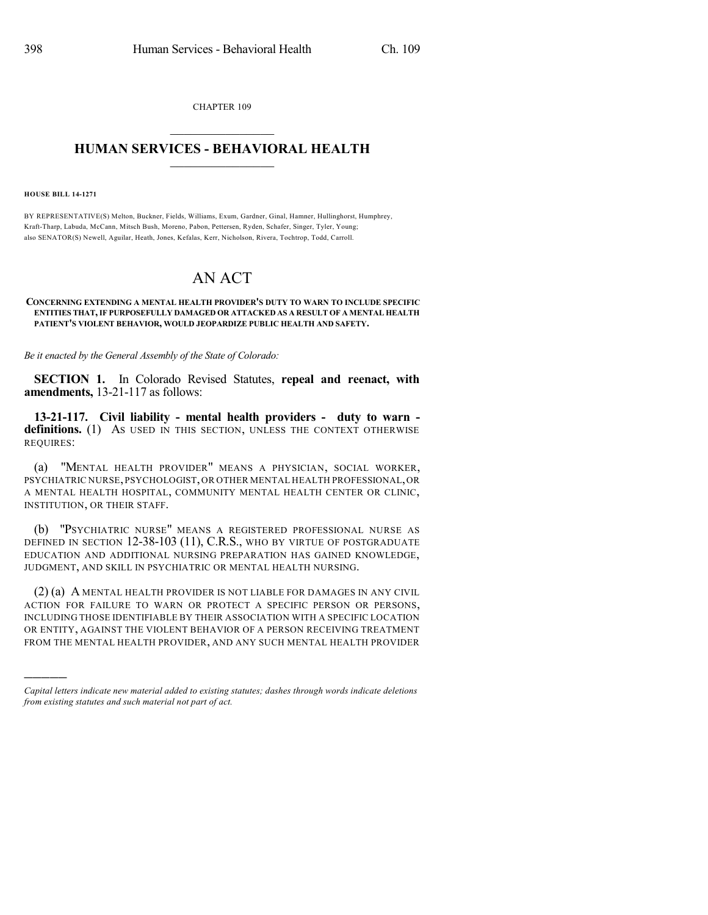CHAPTER 109  $\overline{\phantom{a}}$  . The set of the set of the set of the set of the set of the set of the set of the set of the set of the set of the set of the set of the set of the set of the set of the set of the set of the set of the set o

## **HUMAN SERVICES - BEHAVIORAL HEALTH**  $\frac{1}{2}$  ,  $\frac{1}{2}$  ,  $\frac{1}{2}$  ,  $\frac{1}{2}$  ,  $\frac{1}{2}$  ,  $\frac{1}{2}$  ,  $\frac{1}{2}$

**HOUSE BILL 14-1271**

)))))

BY REPRESENTATIVE(S) Melton, Buckner, Fields, Williams, Exum, Gardner, Ginal, Hamner, Hullinghorst, Humphrey, Kraft-Tharp, Labuda, McCann, Mitsch Bush, Moreno, Pabon, Pettersen, Ryden, Schafer, Singer, Tyler, Young; also SENATOR(S) Newell, Aguilar, Heath, Jones, Kefalas, Kerr, Nicholson, Rivera, Tochtrop, Todd, Carroll.

## AN ACT

## **CONCERNING EXTENDING A MENTAL HEALTH PROVIDER'S DUTY TO WARN TO INCLUDE SPECIFIC ENTITIES THAT,IF PURPOSEFULLY DAMAGED OR ATTACKED AS A RESULT OF A MENTAL HEALTH PATIENT'S VIOLENT BEHAVIOR, WOULD JEOPARDIZE PUBLIC HEALTH AND SAFETY.**

*Be it enacted by the General Assembly of the State of Colorado:*

**SECTION 1.** In Colorado Revised Statutes, **repeal and reenact, with amendments,** 13-21-117 as follows:

**13-21-117. Civil liability - mental health providers - duty to warn**  definitions. (1) As used in this section, unless the context otherwise REQUIRES:

(a) "MENTAL HEALTH PROVIDER" MEANS A PHYSICIAN, SOCIAL WORKER, PSYCHIATRIC NURSE,PSYCHOLOGIST,OR OTHER MENTAL HEALTH PROFESSIONAL,OR A MENTAL HEALTH HOSPITAL, COMMUNITY MENTAL HEALTH CENTER OR CLINIC, INSTITUTION, OR THEIR STAFF.

(b) "PSYCHIATRIC NURSE" MEANS A REGISTERED PROFESSIONAL NURSE AS DEFINED IN SECTION 12-38-103 (11), C.R.S., WHO BY VIRTUE OF POSTGRADUATE EDUCATION AND ADDITIONAL NURSING PREPARATION HAS GAINED KNOWLEDGE, JUDGMENT, AND SKILL IN PSYCHIATRIC OR MENTAL HEALTH NURSING.

(2) (a) A MENTAL HEALTH PROVIDER IS NOT LIABLE FOR DAMAGES IN ANY CIVIL ACTION FOR FAILURE TO WARN OR PROTECT A SPECIFIC PERSON OR PERSONS, INCLUDING THOSE IDENTIFIABLE BY THEIR ASSOCIATION WITH A SPECIFIC LOCATION OR ENTITY, AGAINST THE VIOLENT BEHAVIOR OF A PERSON RECEIVING TREATMENT FROM THE MENTAL HEALTH PROVIDER, AND ANY SUCH MENTAL HEALTH PROVIDER

*Capital letters indicate new material added to existing statutes; dashes through words indicate deletions from existing statutes and such material not part of act.*